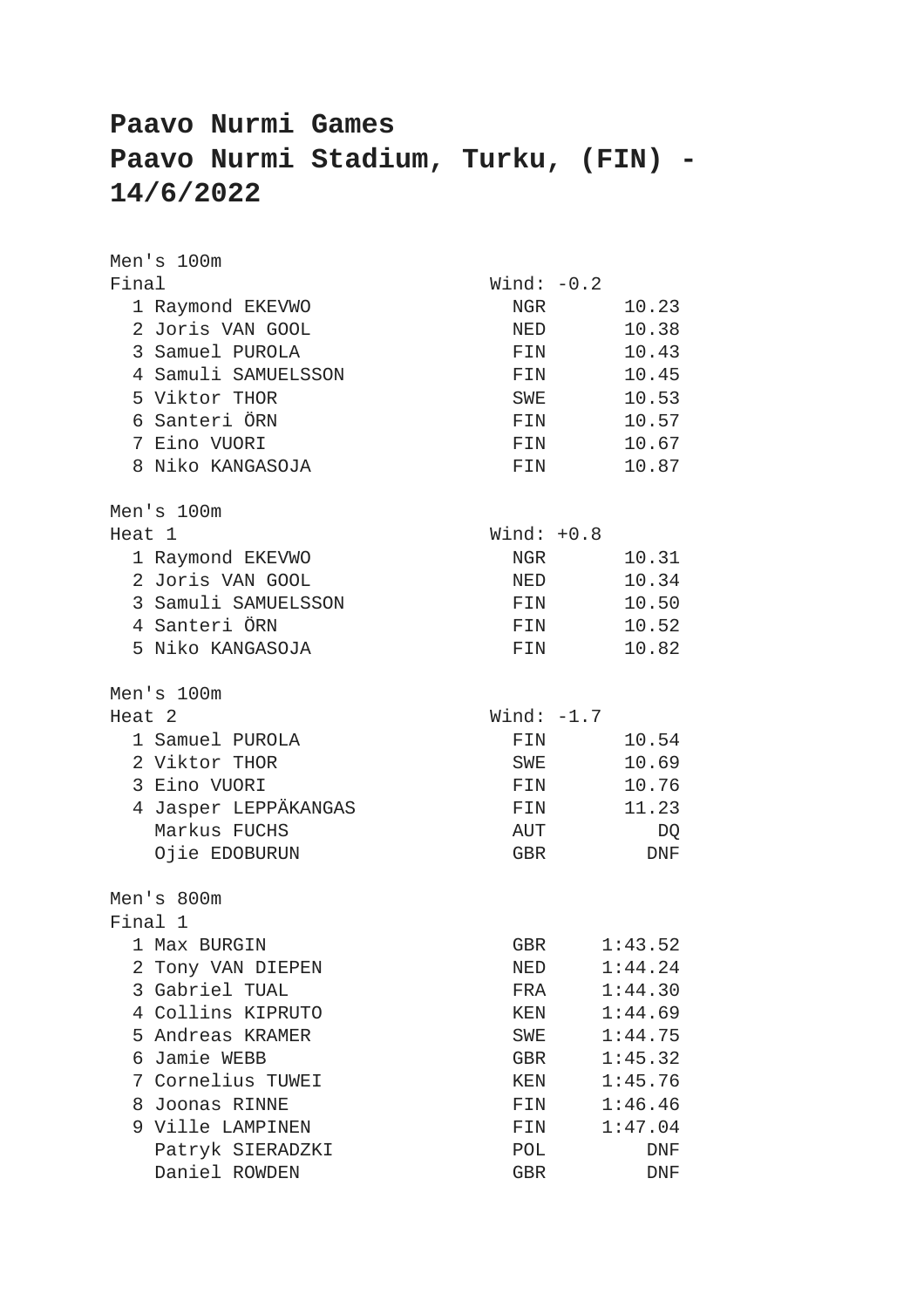## **Paavo Nurmi Games Paavo Nurmi Stadium, Turku, (FIN) - 14/6/2022**

| Men's 100m           |              |           |
|----------------------|--------------|-----------|
| Final                | Wind: $-0.2$ |           |
| 1 Raymond EKEVWO     | NGR          | 10.23     |
| 2 Joris VAN GOOL     | NED          | 10.38     |
| 3 Samuel PUROLA      | FIN          | 10.43     |
| 4 Samuli SAMUELSSON  | FIN          | 10.45     |
| 5 Viktor THOR        | SWE          | 10.53     |
| 6 Santeri ÖRN        | FIN          | 10.57     |
| 7 Eino VUORI         | FIN          | 10.67     |
| 8 Niko KANGASOJA     | FIN          | 10.87     |
| Men's 100m           |              |           |
| Heat 1               | Wind: $+0.8$ |           |
| 1 Raymond EKEVWO     | NGR          | 10.31     |
| 2 Joris VAN GOOL     | NED          | 10.34     |
| 3 Samuli SAMUELSSON  | FIN          | 10.50     |
| 4 Santeri ÖRN        | FIN          | 10.52     |
| 5 Niko KANGASOJA     | FIN          | 10.82     |
| Men's 100m           |              |           |
| Heat 2               | Wind: $-1.7$ |           |
| 1 Samuel PUROLA      | FIN          | 10.54     |
| 2 Viktor THOR        | SWE          | 10.69     |
| 3 Eino VUORI         | FIN          | 10.76     |
| 4 Jasper LEPPÄKANGAS | FIN          | 11.23     |
| Markus FUCHS         | AUT          | DQ        |
| Ojie EDOBURUN        | GBR          | $\rm DNF$ |
| Men's 800m           |              |           |
| Final 1              |              |           |
| 1 Max BURGIN         | GBR          | 1:43.52   |
| Tony VAN DIEPEN<br>2 | NED          | 1:44.24   |
| 3 Gabriel TUAL       | FRA          | 1:44.30   |
| 4 Collins KIPRUTO    | KEN          | 1:44.69   |
| 5 Andreas KRAMER     | SWE          | 1:44.75   |
| Jamie WEBB<br>6      | GBR          | 1:45.32   |
| Cornelius TUWEI<br>7 | KEN          | 1:45.76   |
| 8<br>Joonas RINNE    | FIN          | 1:46.46   |
| 9 Ville LAMPINEN     | FIN          | 1:47.04   |
| Patryk SIERADZKI     | POL          | DNF       |
| Daniel ROWDEN        | GBR          | DNF       |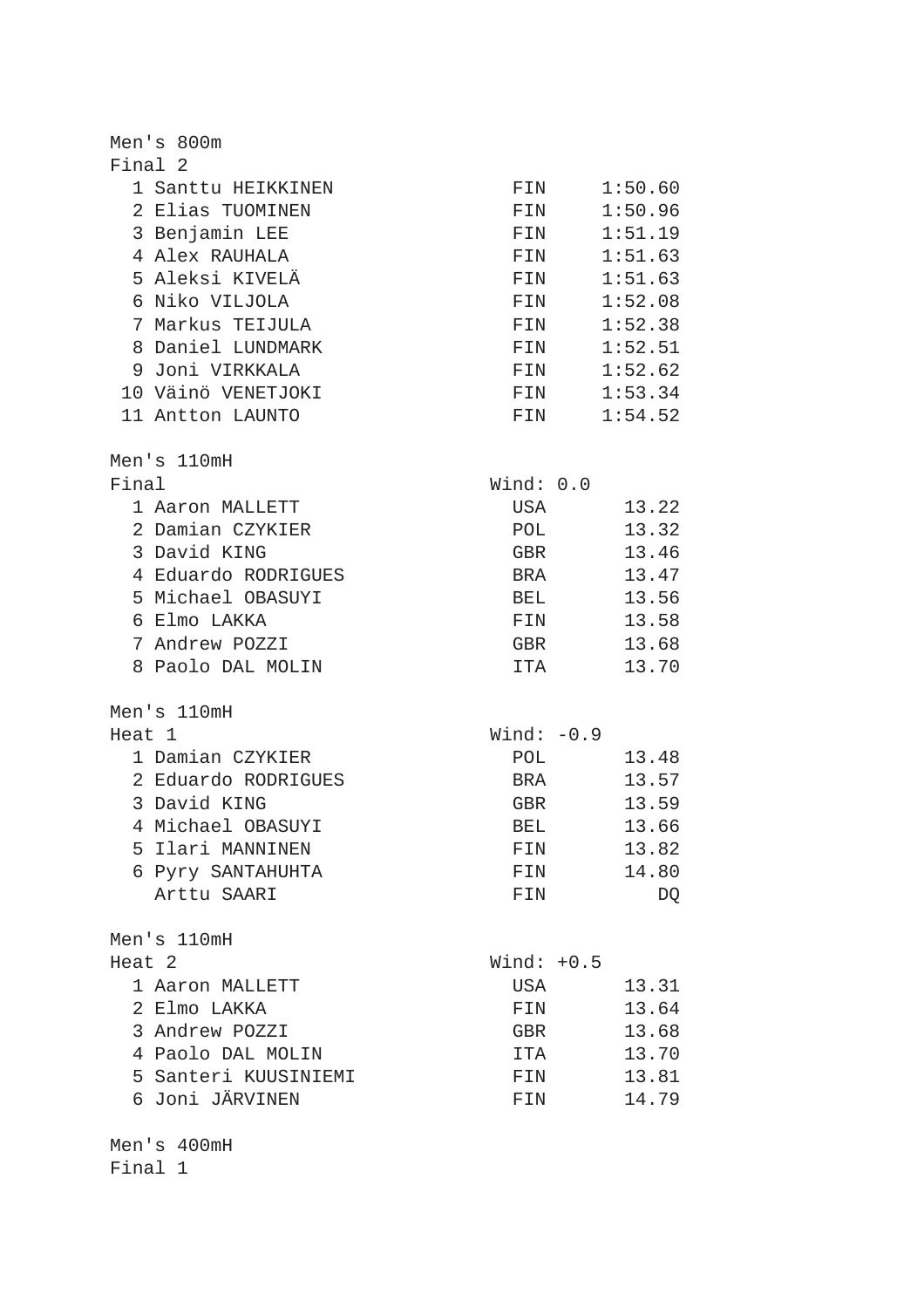| Men's 800m                          |              |                     |
|-------------------------------------|--------------|---------------------|
| Final 2                             |              |                     |
| 1 Santtu HEIKKINEN                  | FIN          | 1:50.60             |
| 2 Elias TUOMINEN                    | FIN          | 1:50.96             |
| 3 Benjamin LEE                      | FIN          | 1:51.19             |
| 4 Alex RAUHALA                      | FIN          | 1:51.63             |
| 5 Aleksi KIVELÄ                     | FIN          | 1:51.63             |
| 6 Niko VILJOLA                      | FIN          | 1:52.08             |
| 7 Markus TEIJULA                    | FIN          | 1:52.38             |
| 8 Daniel LUNDMARK                   | FIN          | 1:52.51             |
| 9 Joni VIRKKALA                     | FIN          | 1:52.62             |
| 10 Väinö VENETJOKI                  | FIN          | 1:53.34             |
| 11 Antton LAUNTO                    | FIN          | 1:54.52             |
|                                     |              |                     |
| Men's 110mH                         |              |                     |
| Final                               | Wind: 0.0    |                     |
|                                     | USA          | 13.22               |
| 1 Aaron MALLETT<br>2 Damian CZYKIER |              |                     |
| 3 David KING                        | POL          | 13.32               |
|                                     | GBR          | 13.46               |
| 4 Eduardo RODRIGUES                 | BRA          | 13.47               |
| 5 Michael OBASUYI                   | BEL          | 13.56               |
| 6 Elmo LAKKA                        | FIN          | 13.58               |
| 7 Andrew POZZI                      | GBR          | 13.68               |
| 8 Paolo DAL MOLIN                   | ITA          | 13.70               |
|                                     |              |                     |
| Men's 110mH                         |              |                     |
| Heat 1                              | Wind: $-0.9$ |                     |
| 1 Damian CZYKIER                    | POL          | 13.48               |
| 2 Eduardo RODRIGUES                 | BRA          | 13.57               |
| 3 David KING                        | GBR          | 13.59               |
| 4 Michael OBASUYI                   |              | 13.66<br><b>BEL</b> |
| 5 Ilari MANNINEN                    | FIN          | 13.82               |
| 6 Pyry SANTAHUHTA                   | FIN          | 14.80               |
| Arttu SAARI                         | FIN          | DQ                  |
|                                     |              |                     |
| Men's 110mH                         |              |                     |
| Heat 2                              | Wind: $+0.5$ |                     |
| 1 Aaron MALLETT                     | USA          | 13.31               |
| 2 Elmo LAKKA                        | FIN          | 13.64               |
| 3 Andrew POZZI                      | GBR          | 13.68               |
| 4 Paolo DAL MOLIN                   | ITA          | 13.70               |
| 5 Santeri KUUSINIEMI                | FIN          | 13.81               |
| 6 Joni JÄRVINEN                     | FIN          | 14.79               |
|                                     |              |                     |
| Men's 400mH<br>Final 1              |              |                     |
|                                     |              |                     |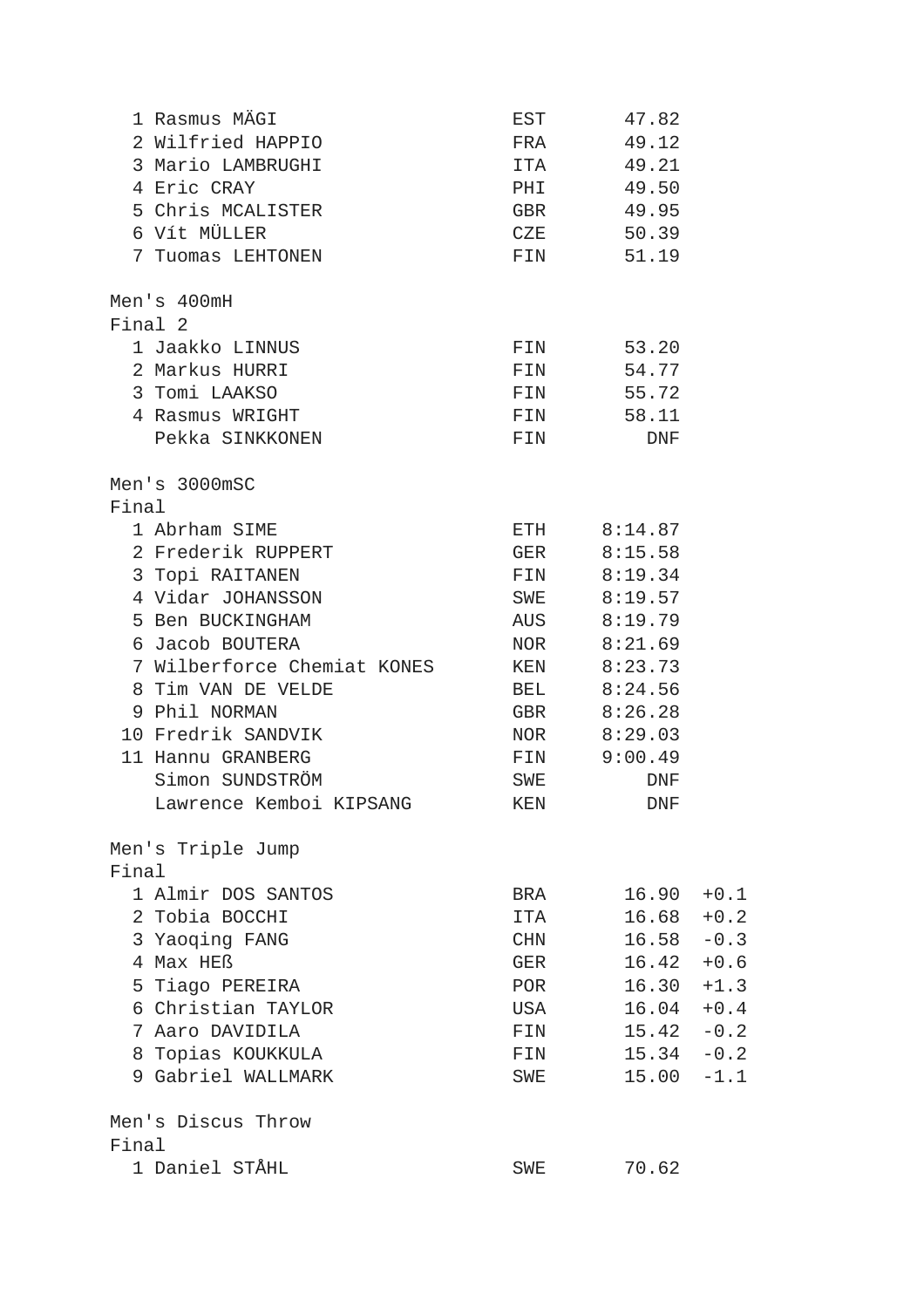| 1 Rasmus MÄGI               | EST        | 47.82       |        |
|-----------------------------|------------|-------------|--------|
| 2 Wilfried HAPPIO           | FRA        | 49.12       |        |
| 3 Mario LAMBRUGHI           | ITA        | 49.21       |        |
| 4 Eric CRAY                 | PHI        | 49.50       |        |
| 5 Chris MCALISTER           | GBR        | 49.95       |        |
| 6 Vít MÜLLER                | CZE        | 50.39       |        |
| 7 Tuomas LEHTONEN           | FIN        | 51.19       |        |
|                             |            |             |        |
| Men's 400mH                 |            |             |        |
| Final 2                     |            |             |        |
| 1 Jaakko LINNUS             | FIN        | 53.20       |        |
| 2 Markus HURRI              | FIN        | 54.77       |        |
| 3 Tomi LAAKSO               | FIN        | 55.72       |        |
| 4 Rasmus WRIGHT             | FIN        | 58.11       |        |
| Pekka SINKKONEN             | FIN        | DNF         |        |
|                             |            |             |        |
| Men's 3000mSC               |            |             |        |
| Final                       |            |             |        |
| 1 Abrham SIME               |            | ETH 8:14.87 |        |
| 2 Frederik RUPPERT          |            | GER 8:15.58 |        |
| 3 Topi RAITANEN             |            | FIN 8:19.34 |        |
| 4 Vidar JOHANSSON           |            | SWE 8:19.57 |        |
| 5 Ben BUCKINGHAM            |            | AUS 8:19.79 |        |
| 6 Jacob BOUTERA             |            | NOR 8:21.69 |        |
| 7 Wilberforce Chemiat KONES |            | KEN 8:23.73 |        |
| 8 Tim VAN DE VELDE          |            | BEL 8:24.56 |        |
| 9 Phil NORMAN               |            | GBR 8:26.28 |        |
| 10 Fredrik SANDVIK          |            | NOR 8:29.03 |        |
| 11 Hannu GRANBERG           |            | FIN 9:00.49 |        |
| Simon SUNDSTRÖM             | SWE        | DNF         |        |
| Lawrence Kemboi KIPSANG     | <b>KEN</b> | DNF         |        |
|                             |            |             |        |
| Men's Triple Jump           |            |             |        |
| Final                       |            |             |        |
| 1 Almir DOS SANTOS          | BRA        | 16.90       | $+0.1$ |
| 2 Tobia BOCCHI              | ITA        | 16.68       | $+0.2$ |
| 3 Yaoging FANG              | CHN        | 16.58       | $-0.3$ |
| 4 Max HEß                   | <b>GER</b> | 16.42       | $+0.6$ |
| 5 Tiago PEREIRA             | POR        | 16.30       | $+1.3$ |
| 6 Christian TAYLOR          | USA        | 16.04       | $+0.4$ |
| 7 Aaro DAVIDILA             | FIN        | 15.42       | $-0.2$ |
| 8 Topias KOUKKULA           | FIN        | 15.34       | $-0.2$ |
| 9 Gabriel WALLMARK          | SWE        | 15.00       | $-1.1$ |
|                             |            |             |        |
| Men's Discus Throw          |            |             |        |
| Final                       |            |             |        |
| 1 Daniel STÅHL              | SWE        | 70.62       |        |
|                             |            |             |        |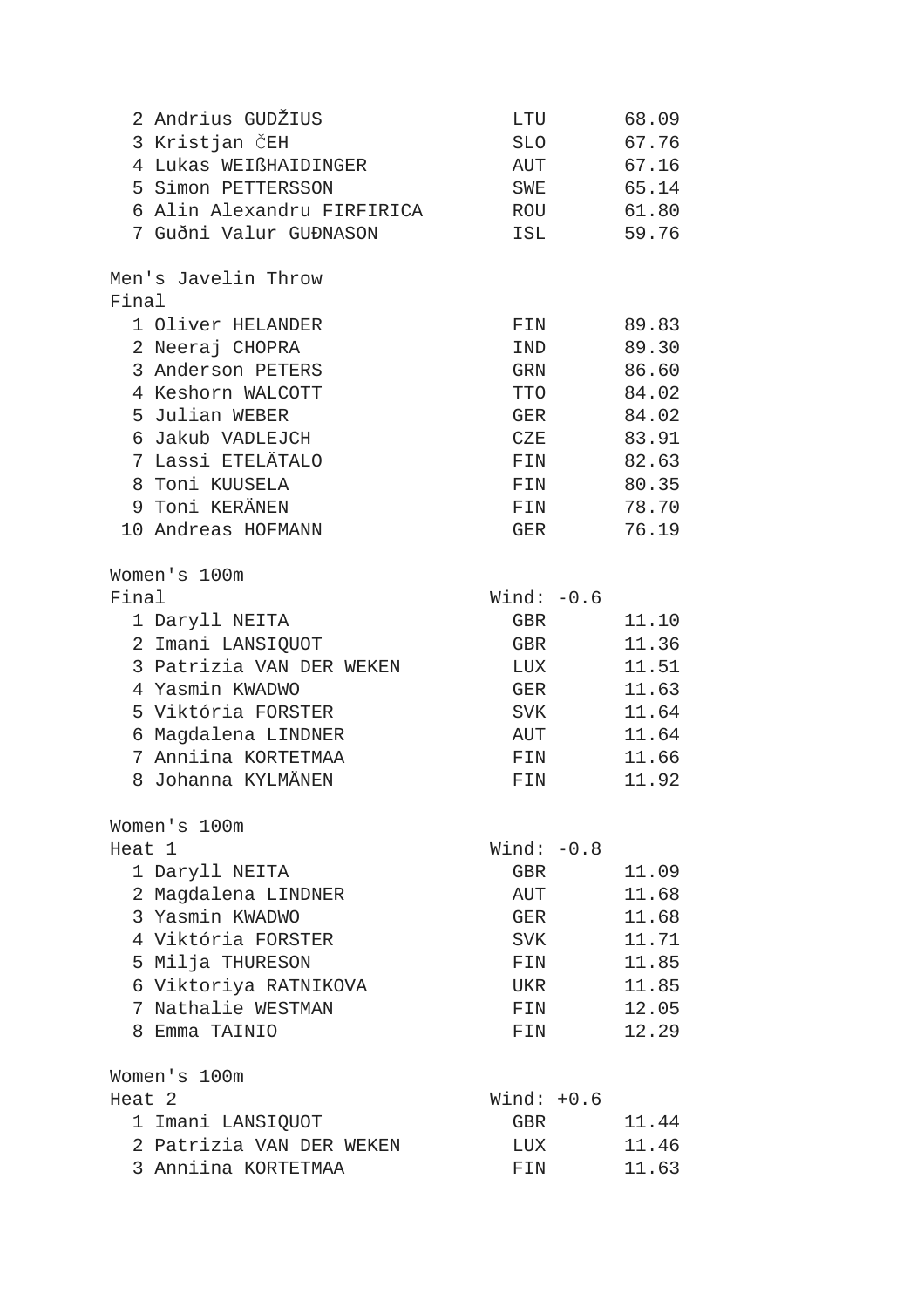|        | 2 Andrius GUDŽIUS          | LTU          | 68.09 |
|--------|----------------------------|--------------|-------|
|        | 3 Kristjan ČEH             | SLO          | 67.76 |
|        | 4 Lukas WEIßHAIDINGER      | AUT          | 67.16 |
|        | 5 Simon PETTERSSON         | SWE          | 65.14 |
|        | 6 Alin Alexandru FIRFIRICA | ROU          | 61.80 |
|        | 7 Guðni Valur GUÐNASON     | ISL          | 59.76 |
|        |                            |              |       |
|        | Men's Javelin Throw        |              |       |
| Final  |                            |              |       |
|        | 1 Oliver HELANDER          | FIN          | 89.83 |
|        | 2 Neeraj CHOPRA            | IND          | 89.30 |
|        | 3 Anderson PETERS          | GRN          | 86.60 |
|        | 4 Keshorn WALCOTT          | TTO          | 84.02 |
|        | 5 Julian WEBER             | GER          | 84.02 |
|        | 6 Jakub VADLEJCH           | CZE          | 83.91 |
|        | 7 Lassi ETELÄTALO          | FIN          | 82.63 |
|        | 8 Toni KUUSELA             | FIN          | 80.35 |
|        | 9 Toni KERÄNEN             | FIN          | 78.70 |
|        | 10 Andreas HOFMANN         | GER          | 76.19 |
|        |                            |              |       |
|        | Women's 100m               |              |       |
| Final  |                            | Wind: $-0.6$ |       |
|        | 1 Daryll NEITA             | GBR          | 11.10 |
|        | 2 Imani LANSIQUOT          | GBR          | 11.36 |
|        | 3 Patrizia VAN DER WEKEN   | LUX          | 11.51 |
|        | 4 Yasmin KWADWO            | GER          | 11.63 |
|        | 5 Viktória FORSTER         | SVK          | 11.64 |
|        | 6 Magdalena LINDNER        | AUT          | 11.64 |
|        | 7 Anniina KORTETMAA        | FIN          | 11.66 |
|        | 8 Johanna KYLMÄNEN         | FIN          | 11.92 |
|        |                            |              |       |
|        | Women's 100m               |              |       |
| Heat 1 |                            | Wind: $-0.8$ |       |
|        | 1 Daryll NEITA             | GBR          | 11.09 |
|        | 2 Magdalena LINDNER        | AUT          | 11.68 |
|        | 3 Yasmin KWADWO            | GER          | 11.68 |
|        | 4 Viktória FORSTER         | SVK          | 11.71 |
|        | 5 Milja THURESON           | FIN          | 11.85 |
|        | 6 Viktoriya RATNIKOVA      | UKR          | 11.85 |
|        | 7 Nathalie WESTMAN         | FIN          | 12.05 |
|        | 8 Emma TAINIO              | FIN          | 12.29 |
|        | Women's 100m               |              |       |
| Heat 2 |                            | Wind: $+0.6$ |       |
|        | 1 Imani LANSIQUOT          | GBR          | 11.44 |
|        | 2 Patrizia VAN DER WEKEN   | LUX          | 11.46 |
|        | 3 Anniina KORTETMAA        | FIN          | 11.63 |
|        |                            |              |       |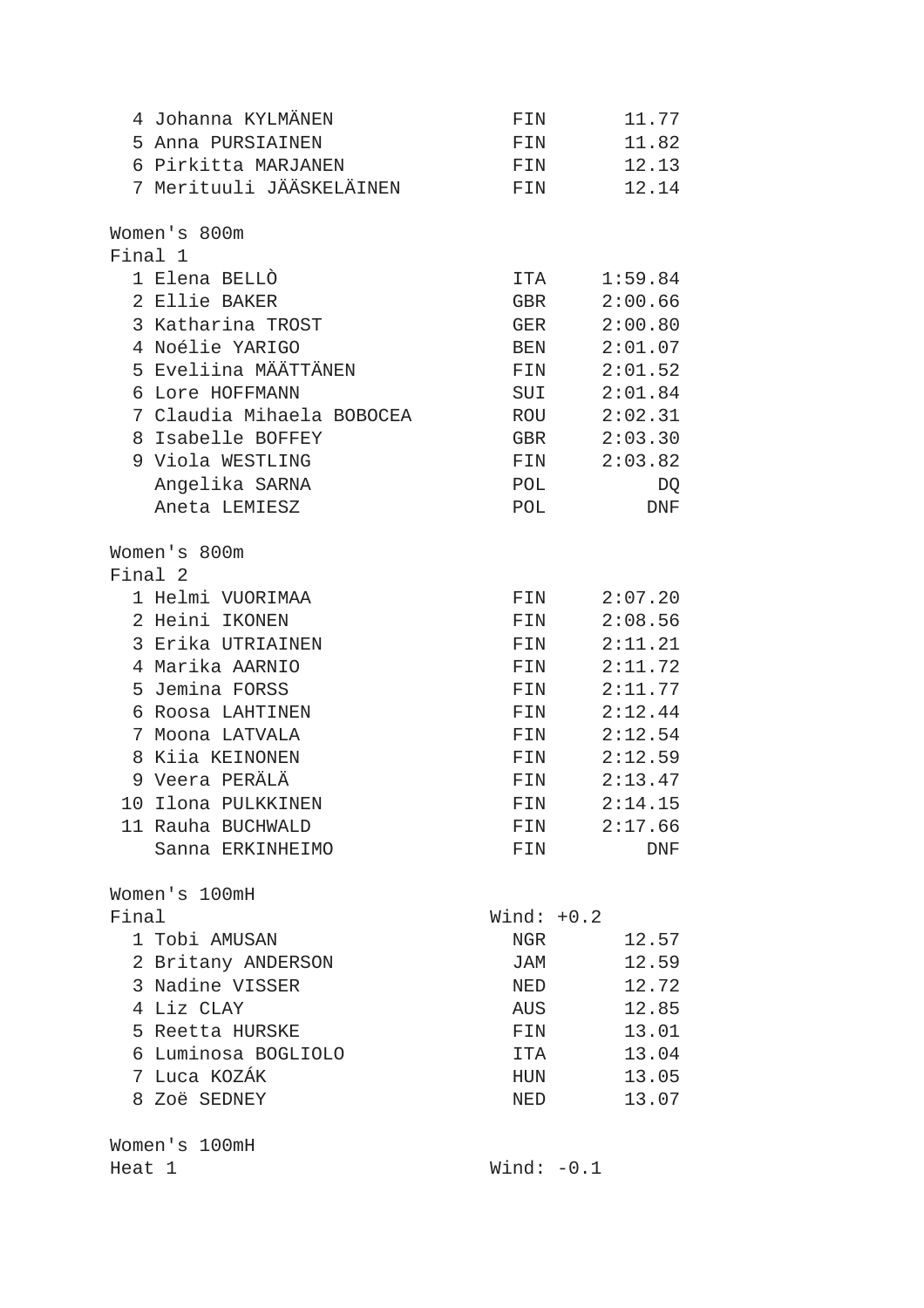| 4 Johanna KYLMÄNEN        | FIN          | 11.77          |
|---------------------------|--------------|----------------|
| 5 Anna PURSIAINEN         | FIN          | 11.82          |
| 6 Pirkitta MARJANEN       | FIN          | 12.13          |
| 7 Merituuli JÄÄSKELÄINEN  | FIN          | 12.14          |
| Women's 800m              |              |                |
| Final 1                   |              |                |
| 1 Elena BELLÒ             |              | ITA<br>1:59.84 |
| 2 Ellie BAKER             | GBR          | 2:00.66        |
| 3 Katharina TROST         | GER          | 2:00.80        |
| 4 Noélie YARIGO           | BEN          | 2:01.07        |
| 5 Eveliina MÄÄTTÄNEN      |              | FIN 2:01.52    |
| Lore HOFFMANN<br>6        | SUI          | 2:01.84        |
| 7 Claudia Mihaela BOBOCEA |              | ROU 2:02.31    |
| 8 Isabelle BOFFEY         | GBR          | 2:03.30        |
| 9 Viola WESTLING          | FIN          | 2:03.82        |
| Angelika SARNA            | POL          | DQ             |
| Aneta LEMIESZ             | POL          | DNF            |
|                           |              |                |
| Women's 800m              |              |                |
| Final 2                   |              |                |
| 1 Helmi VUORIMAA          | FIN          | 2:07.20        |
| 2 Heini IKONEN            | FIN          | 2:08.56        |
| 3 Erika UTRIAINEN         | FIN          | 2:11.21        |
| 4 Marika AARNIO           | FIN          | 2:11.72        |
| 5 Jemina FORSS            | FIN          | 2:11.77        |
| 6 Roosa LAHTINEN          | FIN          | 2:12.44        |
| 7 Moona LATVALA           | FIN          | 2:12.54        |
| 8 Kiia KEINONEN           | FIN          | 2:12.59        |
| 9 Veera PERÄLÄ            | FIN          | 2:13.47        |
| 10 Ilona PULKKINEN        | FIN          | 2:14.15        |
| 11 Rauha BUCHWALD         | FIN          | 2:17.66        |
| Sanna ERKINHEIMO          | FIN          | DNF            |
| Women's 100mH             |              |                |
| Final                     | Wind: $+0.2$ |                |
| 1 Tobi AMUSAN             | NGR          | 12.57          |
| 2 Britany ANDERSON        | JAM          | 12.59          |
| 3 Nadine VISSER           | NED          | 12.72          |
| 4 Liz CLAY                | AUS          | 12.85          |
| 5 Reetta HURSKE           | FIN          | 13.01          |
| 6 Luminosa BOGLIOLO       | ITA          | 13.04          |
| 7 Luca KOZÁK              | HUN          | 13.05          |
| 8 Zoë SEDNEY              | NED          | 13.07          |
|                           |              |                |
| Women's 100mH             |              |                |
| Heat 1                    | Wind: $-0.1$ |                |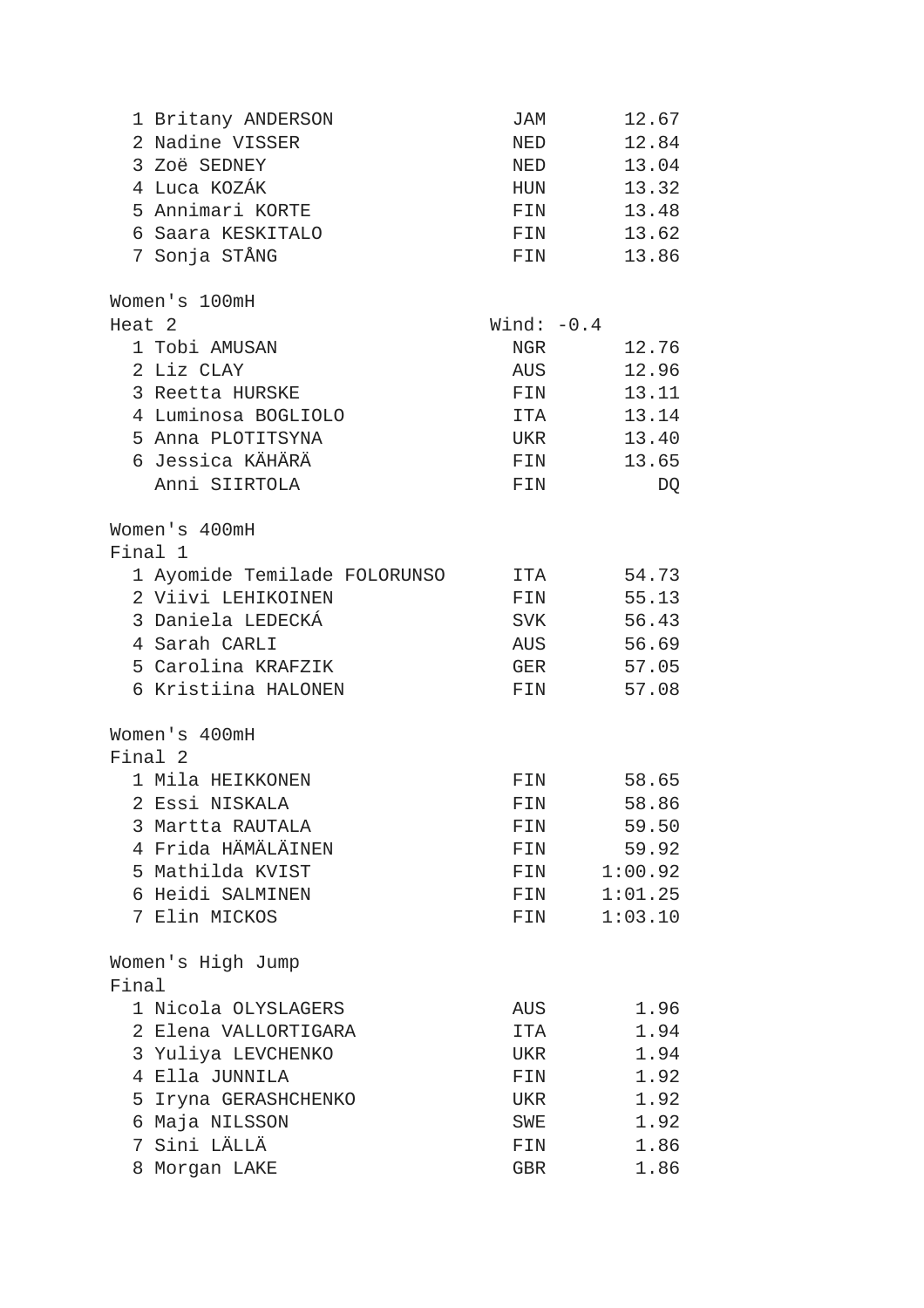|                   | 1 Britany ANDERSON           | JAM          | 12.67               |
|-------------------|------------------------------|--------------|---------------------|
|                   | 2 Nadine VISSER              | NED          | 12.84               |
|                   | 3 Zoë SEDNEY                 | NED          | 13.04               |
|                   | 4 Luca KOZÁK                 | HUN          | 13.32               |
|                   | 5 Annimari KORTE             | FIN          | 13.48               |
|                   | 6 Saara KESKITALO            | FIN          | 13.62               |
|                   | 7 Sonja STÅNG                | FIN          | 13.86               |
|                   | Women's 100mH                |              |                     |
| Heat <sub>2</sub> |                              | Wind: $-0.4$ |                     |
|                   | 1 Tobi AMUSAN                | NGR          | 12.76               |
|                   | 2 Liz CLAY                   | AUS          | 12.96               |
|                   | 3 Reetta HURSKE              | FIN          | 13.11               |
|                   | 4 Luminosa BOGLIOLO          | ITA          | 13.14               |
|                   | 5 Anna PLOTITSYNA            | UKR          | 13.40               |
|                   | 6 Jessica KÄHÄRÄ             | FIN          | 13.65               |
|                   | Anni SIIRTOLA                | FIN          | DQ                  |
|                   | Women's 400mH                |              |                     |
|                   | Final 1                      |              |                     |
|                   | 1 Ayomide Temilade FOLORUNSO | ITA          | 54.73               |
|                   | 2 Viivi LEHIKOINEN           | FIN          | 55.13               |
|                   | 3 Daniela LEDECKÁ            |              | 56.43<br>SVK        |
|                   | 4 Sarah CARLI                |              | 56.69<br><b>AUS</b> |
|                   | 5 Carolina KRAFZIK           | GER          | 57.05               |
|                   | 6 Kristiina HALONEN          | FIN          | 57.08               |
|                   | Women's 400mH                |              |                     |
|                   | Final 2                      |              |                     |
|                   | 1 Mila HEIKKONEN             | FIN          | 58.65               |
|                   | 2 Essi NISKALA               |              | 58.86<br>FIN        |
|                   | 3 Martta RAUTALA             | FIN          | 59.50               |
|                   | 4 Frida HÄMÄLÄINEN           | FIN          | 59.92               |
|                   | 5 Mathilda KVIST             | FIN          | 1:00.92             |
|                   | 6 Heidi SALMINEN             | FIN          | 1:01.25             |
|                   | 7 Elin MICKOS                | FIN          | 1:03.10             |
|                   | Women's High Jump            |              |                     |
| Final             |                              |              |                     |
|                   | 1 Nicola OLYSLAGERS          | AUS          | 1.96                |
|                   | 2 Elena VALLORTIGARA         | ITA          | 1.94                |
|                   | 3 Yuliya LEVCHENKO           | UKR          | 1.94                |
|                   | 4 Ella JUNNILA               | FIN          | 1.92                |
|                   | 5 Iryna GERASHCHENKO         | UKR          | 1.92                |
|                   | 6 Maja NILSSON               | SWE          | 1.92                |
| 7                 | Sini LÄLLÄ                   | FIN          | 1.86                |
|                   | 8 Morgan LAKE                | GBR          | 1.86                |